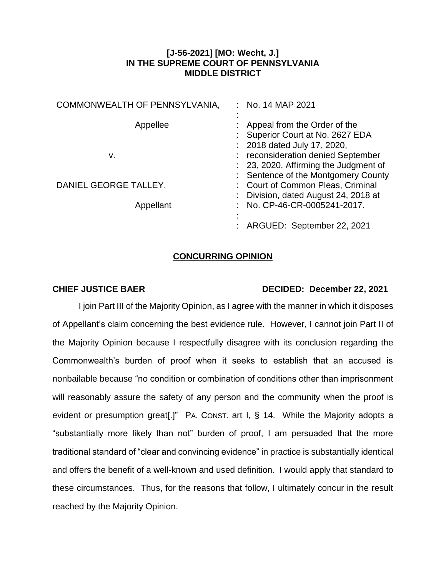## **[J-56-2021] [MO: Wecht, J.] IN THE SUPREME COURT OF PENNSYLVANIA MIDDLE DISTRICT**

| COMMONWEALTH OF PENNSYLVANIA, | $:$ No. 14 MAP 2021                                                                                          |
|-------------------------------|--------------------------------------------------------------------------------------------------------------|
| Appellee                      | Appeal from the Order of the<br>Superior Court at No. 2627 EDA                                               |
| v.                            | : 2018 dated July 17, 2020,<br>reconsideration denied September                                              |
|                               | : 23, 2020, Affirming the Judgment of                                                                        |
| DANIEL GEORGE TALLEY,         | Sentence of the Montgomery County<br>: Court of Common Pleas, Criminal<br>Division, dated August 24, 2018 at |
| Appellant                     | No. CP-46-CR-0005241-2017.                                                                                   |
|                               | ARGUED: September 22, 2021                                                                                   |

## **CONCURRING OPINION**

## **CHIEF JUSTICE BAER DECIDED: December 22, 2021**

I join Part III of the Majority Opinion, as I agree with the manner in which it disposes of Appellant's claim concerning the best evidence rule. However, I cannot join Part II of the Majority Opinion because I respectfully disagree with its conclusion regarding the Commonwealth's burden of proof when it seeks to establish that an accused is nonbailable because "no condition or combination of conditions other than imprisonment will reasonably assure the safety of any person and the community when the proof is evident or presumption great[.]" PA. CONST. art I, § 14. While the Majority adopts a "substantially more likely than not" burden of proof, I am persuaded that the more traditional standard of "clear and convincing evidence" in practice is substantially identical and offers the benefit of a well-known and used definition. I would apply that standard to these circumstances. Thus, for the reasons that follow, I ultimately concur in the result reached by the Majority Opinion.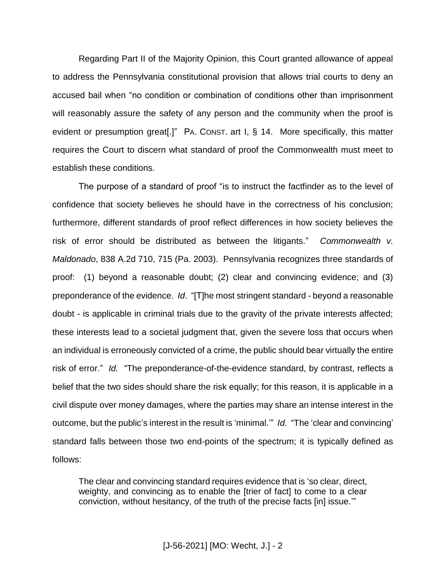Regarding Part II of the Majority Opinion, this Court granted allowance of appeal to address the Pennsylvania constitutional provision that allows trial courts to deny an accused bail when "no condition or combination of conditions other than imprisonment will reasonably assure the safety of any person and the community when the proof is evident or presumption great[.]" PA. CONST. art I, § 14. More specifically, this matter requires the Court to discern what standard of proof the Commonwealth must meet to establish these conditions.

The purpose of a standard of proof "is to instruct the factfinder as to the level of confidence that society believes he should have in the correctness of his conclusion; furthermore, different standards of proof reflect differences in how society believes the risk of error should be distributed as between the litigants." *Commonwealth v. Maldonado*, 838 A.2d 710, 715 (Pa. 2003). Pennsylvania recognizes three standards of proof: (1) beyond a reasonable doubt; (2) clear and convincing evidence; and (3) preponderance of the evidence. *Id*. "[T]he most stringent standard - beyond a reasonable doubt - is applicable in criminal trials due to the gravity of the private interests affected; these interests lead to a societal judgment that, given the severe loss that occurs when an individual is erroneously convicted of a crime, the public should bear virtually the entire risk of error." *Id.* "The preponderance-of-the-evidence standard, by contrast, reflects a belief that the two sides should share the risk equally; for this reason, it is applicable in a civil dispute over money damages, where the parties may share an intense interest in the outcome, but the public's interest in the result is 'minimal.'" *Id.* "The 'clear and convincing' standard falls between those two end-points of the spectrum; it is typically defined as follows:

The clear and convincing standard requires evidence that is 'so clear, direct, weighty, and convincing as to enable the [trier of fact] to come to a clear conviction, without hesitancy, of the truth of the precise facts [in] issue.'"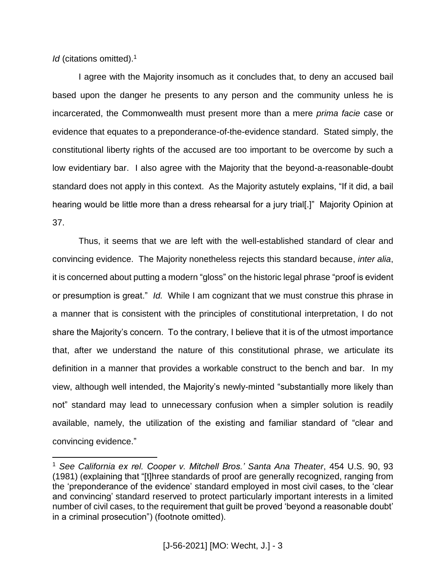*Id* (citations omitted).<sup>1</sup>

 $\overline{a}$ 

I agree with the Majority insomuch as it concludes that, to deny an accused bail based upon the danger he presents to any person and the community unless he is incarcerated, the Commonwealth must present more than a mere *prima facie* case or evidence that equates to a preponderance-of-the-evidence standard. Stated simply, the constitutional liberty rights of the accused are too important to be overcome by such a low evidentiary bar. I also agree with the Majority that the beyond-a-reasonable-doubt standard does not apply in this context. As the Majority astutely explains, "If it did, a bail hearing would be little more than a dress rehearsal for a jury trial[.]" Majority Opinion at 37.

Thus, it seems that we are left with the well-established standard of clear and convincing evidence. The Majority nonetheless rejects this standard because, *inter alia*, it is concerned about putting a modern "gloss" on the historic legal phrase "proof is evident or presumption is great." *Id.* While I am cognizant that we must construe this phrase in a manner that is consistent with the principles of constitutional interpretation, I do not share the Majority's concern. To the contrary, I believe that it is of the utmost importance that, after we understand the nature of this constitutional phrase, we articulate its definition in a manner that provides a workable construct to the bench and bar. In my view, although well intended, the Majority's newly-minted "substantially more likely than not" standard may lead to unnecessary confusion when a simpler solution is readily available, namely, the utilization of the existing and familiar standard of "clear and convincing evidence."

<sup>1</sup> *See California ex rel. Cooper v. Mitchell Bros.' Santa Ana Theater*, 454 U.S. 90, 93 (1981) (explaining that "[t]hree standards of proof are generally recognized, ranging from the 'preponderance of the evidence' standard employed in most civil cases, to the 'clear and convincing' standard reserved to protect particularly important interests in a limited number of civil cases, to the requirement that guilt be proved 'beyond a reasonable doubt' in a criminal prosecution") (footnote omitted).